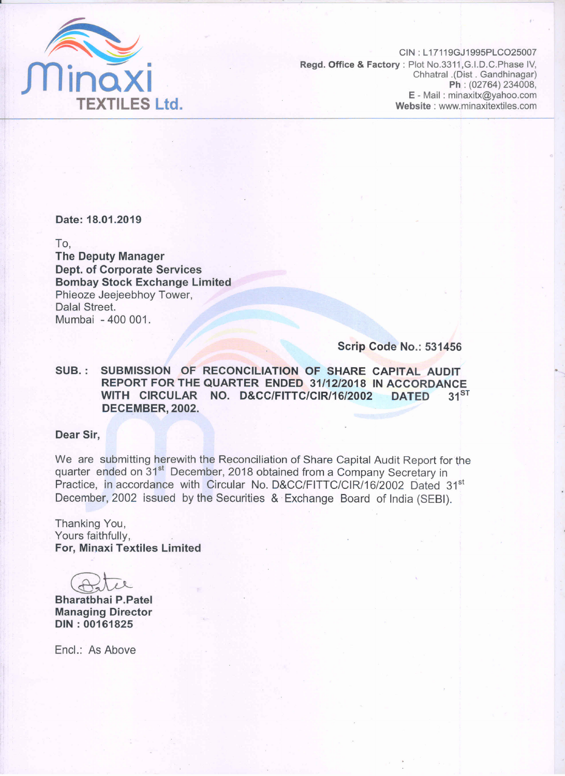

CIN: L17119GJ1995PLCO25007 Regd. Office & Factory: Plot No.3311, G.I.D.C. Phase IV, Chhatral .(Dist . Gandhinagar) Ph: (02764) 234008, E - Mail: minaxitx@yahoo.com Website: www.minaxitextiles.com

Date: 18.01.2019

To.

**The Deputy Manager Dept. of Corporate Services Bombay Stock Exchange Limited** Phieoze Jeejeebhoy Tower, Dalal Street. Mumbai - 400 001.

#### Scrip Code No.: 531456

SUBMISSION OF RECONCILIATION OF SHARE CAPITAL AUDIT SUB.: REPORT FOR THE QUARTER ENDED 31/12/2018 IN ACCORDANCE WITH CIRCULAR NO. D&CC/FITTC/CIR/16/2002 **DATED**  $31^{ST}$ DECEMBER, 2002.

#### Dear Sir.

We are submitting herewith the Reconciliation of Share Capital Audit Report for the quarter ended on 31<sup>st</sup> December, 2018 obtained from a Company Secretary in Practice, in accordance with Circular No. D&CC/FITTC/CIR/16/2002 Dated 31st December, 2002 issued by the Securities & Exchange Board of India (SEBI).

Thanking You, Yours faithfully. For, Minaxi Textiles Limited

**Bharatbhai P.Patel Managing Director** DIN: 00161825

Encl.: As Above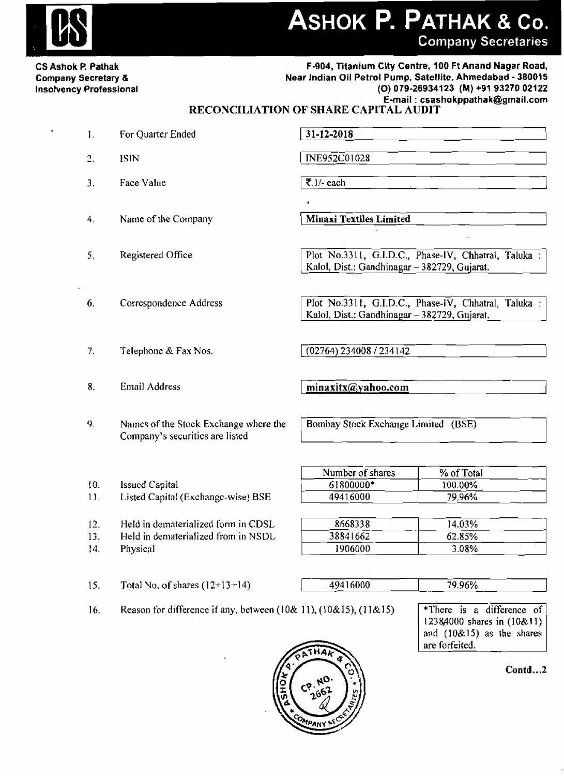## ASHOK P. PATHAK & Co. **Company Secretaries**

**CS Ashok P. Pathak Company Secretary & Insolvency Professional** 

 $\overline{3}$ .

 $\overline{4}$ .

5.

6.

#### F-904, Titanium City Centre, 100 Ft Anand Nagar Road, Near Indian Oil Petrol Pump, Satellite, Ahmedabad - 380015 (O) 079-26934123 (M) +91 93270 02122 E-mail: csashokppathak@gmail.com

### RECONCILIATION OF SHARE CAPITAL AUDIT

 $31 - 12 - 2018$ For Quarter Ended  $1.$  $2.$ INE952C01028 **ISIN** 

**Minaxi Textiles Limited** 

Plot No.3311, G.I.D.C., Phase-IV, Chhatral, Taluka : Kalol, Dist.: Gandhinagar - 382729, Gujarat.

Plot No.3311, G.I.D.C., Phase-IV, Chhatral, Taluka : Kalol, Dist.: Gandhinagar - 382729, Gujarat.

 $(02764)$  234008 / 234142

minaxitx@yahoo.com

1906000

Bombay Stock Exchange Limited (BSE)

|                 |                                     | Number of shares | % of Total |
|-----------------|-------------------------------------|------------------|------------|
| 10.             | Issued Capital                      | 61800000*        | 100.00%    |
| $\overline{11}$ | Listed Capital (Exchange-wise) BSE  | 49416000         | 79.96%     |
|                 |                                     |                  |            |
| 12.             | Held in dematerialized form in CDSL | 8668338          | 14.03%     |
| 13.             | Held in dematerialized from in NSDL | 38841662         | 62.85%     |

13. Held in dematerialized from in NSDL

Total No. of shares  $(12+13+14)$ 

 $14.$ Physical

 $15.$ 

49416000

79.96%

3.08%

16. Reason for difference if any, between  $(10&11)$ ,  $(10&15)$ ,  $(11&15)$  \*There is a difference  $\overline{of}$ 12384000 shares in (10&11) and  $(10&15)$  as the shares are forfeited.

 $Contd...2$ 





 $\overline{\mathbf{z}}$ . 1/- each

Correspondence Address

Name of the Company

Registered Office

 $7<sub>1</sub>$ Telephone & Fax Nos.

Face Value

- 8. **Email Address**
- $9<sub>1</sub>$ Names of the Stock Exchange where the Company's securities are listed
-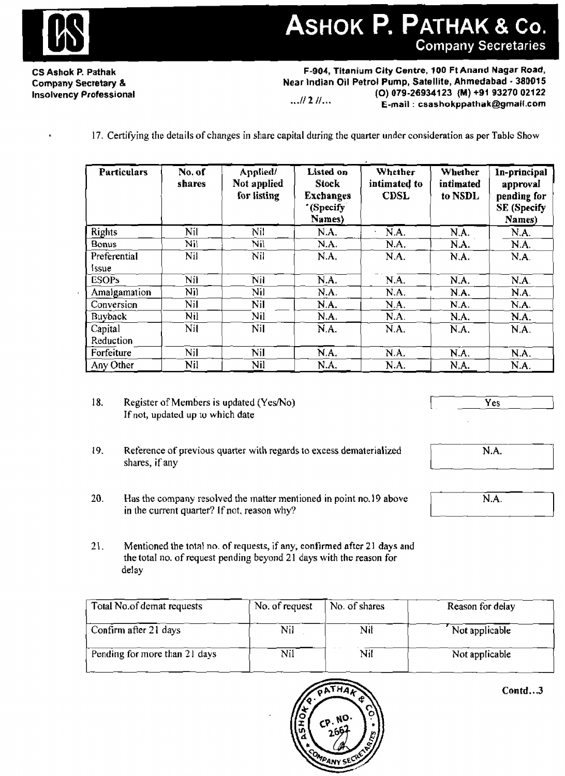

**CS Ashok P. Pathak Company Secretary** % **Insolvency Professional** 

**F-904, Titanium City Centre, 100 Ft Anand Nagar Road, Near Indian Oil Petrol Pump, Satellite, Ahmedabad** - **380015 (0) 079-26934123 {M) +91 93270 02122** ..\*I/ **2** //.%. **E-mail** : **csashokppathak@gmai(.com** 

**17. Certifying the details of** changes in share **capital** during the **quarter under corlsideration as per Tablc Show** 

| <b>Particulars</b>          | No. of<br>shares | Applied/<br>Not applied<br>for listing | Listed on<br><b>Stock</b><br><b>Exchanges</b><br>'(Specify<br>Names) | Whether<br>intimated to<br><b>CDSL</b> | Whether<br>intimated<br>to NSDL | In-principal<br>approval<br>pending for<br><b>SE</b> (Specify<br>Names) |
|-----------------------------|------------------|----------------------------------------|----------------------------------------------------------------------|----------------------------------------|---------------------------------|-------------------------------------------------------------------------|
| <b>Rights</b>               | Nil              | Nil                                    | N.A.                                                                 | N.A.                                   | N.A.                            | N.A.                                                                    |
| Bonus                       | Nil              | Nil                                    | N.A.                                                                 | N.A.                                   | N.A.                            | N.A.                                                                    |
| Preferential<br><b>Ssue</b> | Nil              | Nil                                    | N.A.                                                                 | N.A.                                   | N.A.                            | N.A.                                                                    |
| <b>ESOPs</b>                | Nil              | Nil                                    | $\overline{N.A.}$                                                    | N.A.                                   | N.A.                            | N.A.                                                                    |
| Amalgamation                | Nil              | Nil                                    | N.A.                                                                 | N.A.                                   | N.A.                            | N.A.                                                                    |
| Conversion                  | Nil              | Nil                                    | N.A.                                                                 | N.A.                                   | N.A.                            | N.A.                                                                    |
| <b>Buyback</b>              | Nil              | Nil                                    | N.A.                                                                 | N.A.                                   | N.A.                            | N.A.                                                                    |
| Capital                     | Nil              | Nil                                    | $\overline{N}$ .A.                                                   | N.A.                                   | N.A.                            | N.A.                                                                    |
| Reduction                   |                  |                                        |                                                                      |                                        |                                 |                                                                         |
| Forfeiture                  | Nil              | Nil                                    | N.A.                                                                 | N.A.                                   | N.A.                            | N.A.                                                                    |
| Any Other                   | Nil              | Nil                                    | N.A.                                                                 | N.A.                                   | N.A.                            | N.A.                                                                    |

- 18. **Register of Members is updated (Yes/No) If not, updated up** tu **which date**
- 19. **Reference of previous quarter with regards to excess dematerialized shares,** if any
- **20. Has** the **company resolved the** rnatfer **mentioned in point no. 19 above in the current quarter?** If not. **reason why?**
- 21. Mentioned the **total no. of requests, if any, confirmed after** 21 days and **the total** no. **of request pending beyond 21 days with the reason for de!ay**

| 20.<br>Has the company resolved the matter mentioned in point no. 19 above<br>in the current quarter? If not, reason why?                                       | N.A.           |               |                  |
|-----------------------------------------------------------------------------------------------------------------------------------------------------------------|----------------|---------------|------------------|
| 21.<br>Mentioned the total no. of requests, if any, confirmed after 21 days and<br>the total no. of request pending beyond 21 days with the reason for<br>delay |                |               |                  |
| Total No.of demat requests                                                                                                                                      | No. of request | No. of shares | Reason for delay |
| Confirm after 21 days                                                                                                                                           | Nil            | Nil           | Not applicable   |
|                                                                                                                                                                 |                |               |                  |
| Pending for more than 21 days                                                                                                                                   | Nil            | Nil           | Not applicable   |





<sup>I</sup>**Yes** 

N.A.